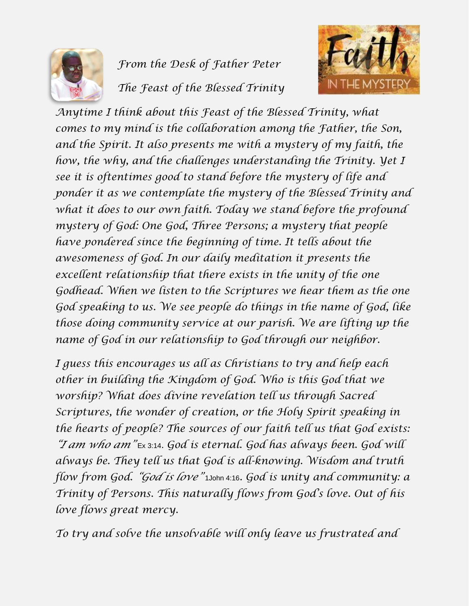

## *From the Desk of Father Peter The Feast of the Blessed Trinity*



*Anytime I think about this Feast of the Blessed Trinity, what comes to my mind is the collaboration among the Father, the Son, and the Spirit. It also presents me with a mystery of my faith, the how, the why, and the challenges understanding the Trinity. Yet I see it is oftentimes good to stand before the mystery of life and ponder it as we contemplate the mystery of the Blessed Trinity and what it does to our own faith. Today we stand before the profound mystery of God: One God, Three Persons; a mystery that people have pondered since the beginning of time. It tells about the awesomeness of God. In our daily meditation it presents the excellent relationship that there exists in the unity of the one Godhead. When we listen to the Scriptures we hear them as the one God speaking to us. We see people do things in the name of God, like those doing community service at our parish. We are lifting up the name of God in our relationship to God through our neighbor.*

*I guess this encourages us all as Christians to try and help each other in building the Kingdom of God. Who is this God that we worship? What does divine revelation tell us through Sacred Scriptures, the wonder of creation, or the Holy Spirit speaking in the hearts of people? The sources of our faith tell us that God exists: "I am who am"* Ex 3:14. *God is eternal. God has always been. God will always be. They tell us that God is all-knowing. Wisdom and truth flow from God. "God is love"* 1John 4:16*. God is unity and community: a Trinity of Persons. This naturally flows from God's love. Out of his love flows great mercy.* 

*To try and solve the unsolvable will only leave us frustrated and*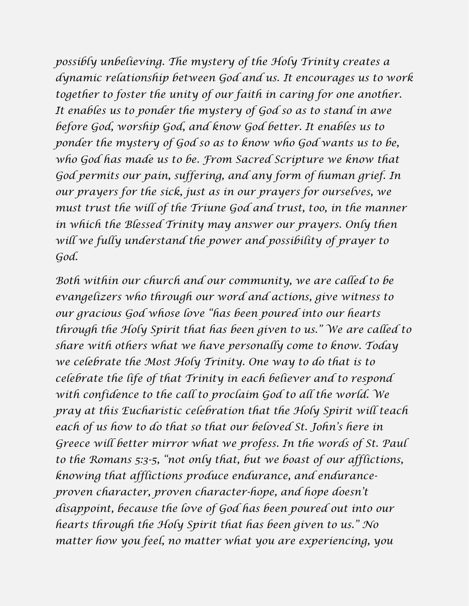*possibly unbelieving. The mystery of the Holy Trinity creates a dynamic relationship between God and us. It encourages us to work together to foster the unity of our faith in caring for one another. It enables us to ponder the mystery of God so as to stand in awe before God, worship God, and know God better. It enables us to ponder the mystery of God so as to know who God wants us to be, who God has made us to be. From Sacred Scripture we know that God permits our pain, suffering, and any form of human grief. In our prayers for the sick, just as in our prayers for ourselves, we must trust the will of the Triune God and trust, too, in the manner in which the Blessed Trinity may answer our prayers. Only then will we fully understand the power and possibility of prayer to God.*

*Both within our church and our community, we are called to be evangelizers who through our word and actions, give witness to our gracious God whose love "has been poured into our hearts through the Holy Spirit that has been given to us." We are called to share with others what we have personally come to know. Today we celebrate the Most Holy Trinity. One way to do that is to celebrate the life of that Trinity in each believer and to respond with confidence to the call to proclaim God to all the world. We pray at this Eucharistic celebration that the Holy Spirit will teach each of us how to do that so that our beloved St. John's here in Greece will better mirror what we profess. In the words of St. Paul to the Romans 5:3-5, "not only that, but we boast of our afflictions, knowing that afflictions produce endurance, and enduranceproven character, proven character-hope, and hope doesn't disappoint, because the love of God has been poured out into our hearts through the Holy Spirit that has been given to us." No matter how you feel, no matter what you are experiencing, you*